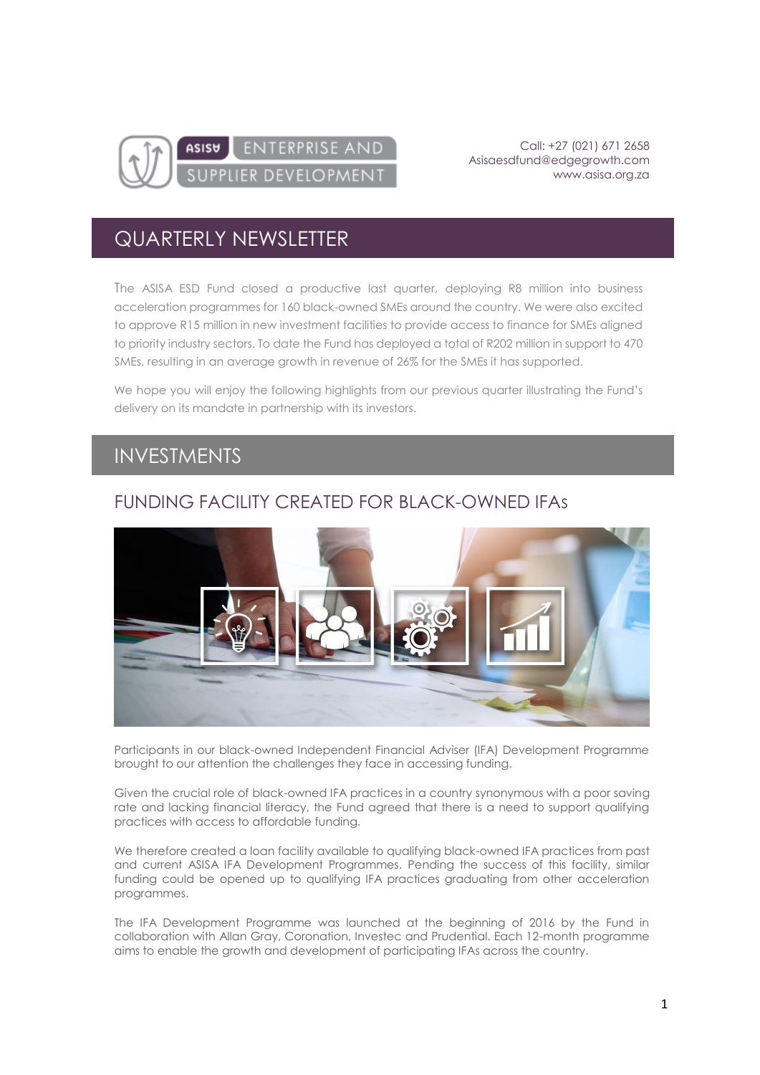

Call: +27 (021) 671 2658 [Asisaesdfund@edgegrowth.com](mailto:Asisaesdfund@edgegrowth.com) [www.asisa.org.za](http://www.asisa.org.za/)

# QUARTERLY NEWSLETTER

The ASISA ESD Fund closed a productive last quarter, deploying R8 million into business acceleration programmes for 160 black-owned SMEs around the country. We were also excited to approve R15 million in new investment facilities to provide access to finance for SMEs aligned to priority industry sectors. To date the Fund has deployed a total of R202 million in support to 470 SMEs, resulting in an average growth in revenue of 26% for the SMEs it has supported.

We hope you will enjoy the following highlights from our previous quarter illustrating the Fund's delivery on its mandate in partnership with its investors.

### INVESTMENTS

#### FUNDING FACILITY CREATED FOR BLACK-OWNED IFAs



Participants in our black-owned Independent Financial Adviser (IFA) Development Programme brought to our attention the challenges they face in accessing funding.

Given the crucial role of black-owned IFA practices in a country synonymous with a poor saving rate and lacking financial literacy, the Fund agreed that there is a need to support qualifying practices with access to affordable funding.

We therefore created a loan facility available to qualifying black-owned IFA practices from past and current ASISA IFA Development Programmes. Pending the success of this facility, similar funding could be opened up to qualifying IFA practices graduating from other acceleration programmes.

The IFA Development Programme was launched at the beginning of 2016 by the Fund in collaboration with Allan Gray, Coronation, Investec and Prudential. Each 12-month programme aims to enable the growth and development of participating IFAs across the country.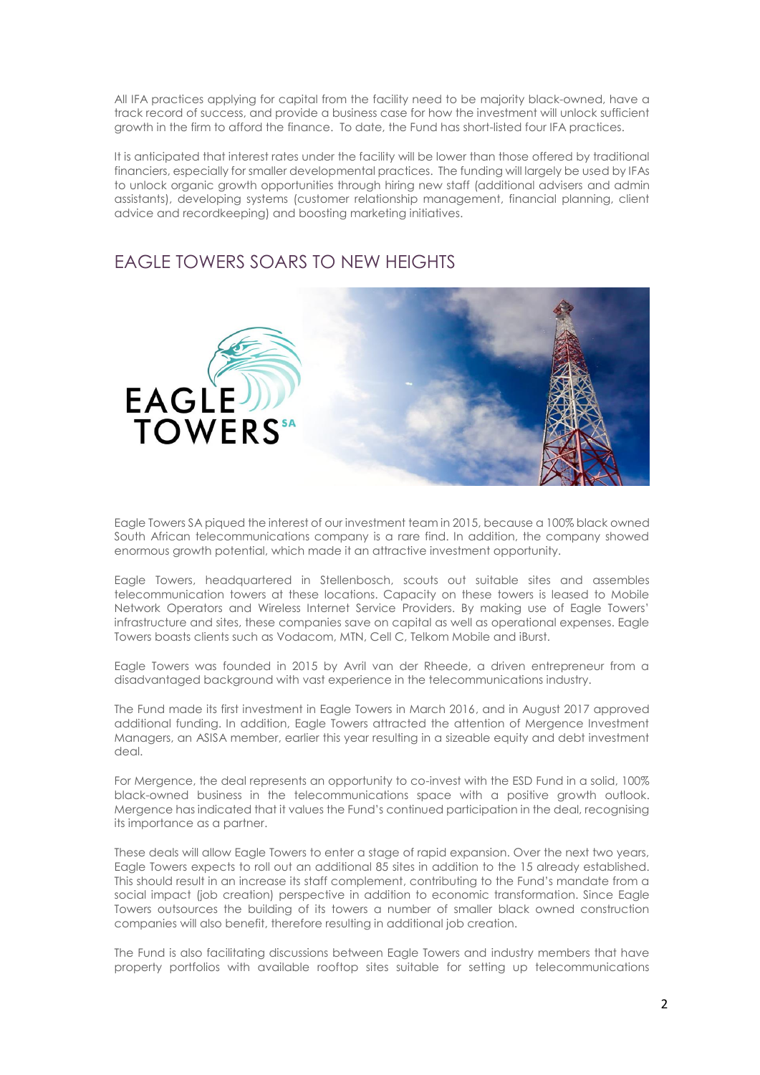All IFA practices applying for capital from the facility need to be majority black-owned, have a track record of success, and provide a business case for how the investment will unlock sufficient growth in the firm to afford the finance. To date, the Fund has short-listed four IFA practices.

It is anticipated that interest rates under the facility will be lower than those offered by traditional financiers, especially for smaller developmental practices. The funding will largely be used by IFAs to unlock organic growth opportunities through hiring new staff (additional advisers and admin assistants), developing systems (customer relationship management, financial planning, client advice and recordkeeping) and boosting marketing initiatives.

#### EAGLE TOWERS SOARS TO NEW HEIGHTS



Eagle Towers SA piqued the interest of our investment team in 2015, because a 100% black owned South African telecommunications company is a rare find. In addition, the company showed enormous growth potential, which made it an attractive investment opportunity.

Eagle Towers, headquartered in Stellenbosch, scouts out suitable sites and assembles telecommunication towers at these locations. Capacity on these towers is leased to Mobile Network Operators and Wireless Internet Service Providers. By making use of Eagle Towers' infrastructure and sites, these companies save on capital as well as operational expenses. Eagle Towers boasts clients such as Vodacom, MTN, Cell C, Telkom Mobile and iBurst.

Eagle Towers was founded in 2015 by Avril van der Rheede, a driven entrepreneur from a disadvantaged background with vast experience in the telecommunications industry.

The Fund made its first investment in Eagle Towers in March 2016, and in August 2017 approved additional funding. In addition, Eagle Towers attracted the attention of Mergence Investment Managers, an ASISA member, earlier this year resulting in a sizeable equity and debt investment deal.

For Mergence, the deal represents an opportunity to co-invest with the ESD Fund in a solid, 100% black-owned business in the telecommunications space with a positive growth outlook. Mergence has indicated that it values the Fund's continued participation in the deal, recognising its importance as a partner.

These deals will allow Eagle Towers to enter a stage of rapid expansion. Over the next two years, Eagle Towers expects to roll out an additional 85 sites in addition to the 15 already established. This should result in an increase its staff complement, contributing to the Fund's mandate from a social impact (job creation) perspective in addition to economic transformation. Since Eagle Towers outsources the building of its towers a number of smaller black owned construction companies will also benefit, therefore resulting in additional job creation.

The Fund is also facilitating discussions between Eagle Towers and industry members that have property portfolios with available rooftop sites suitable for setting up telecommunications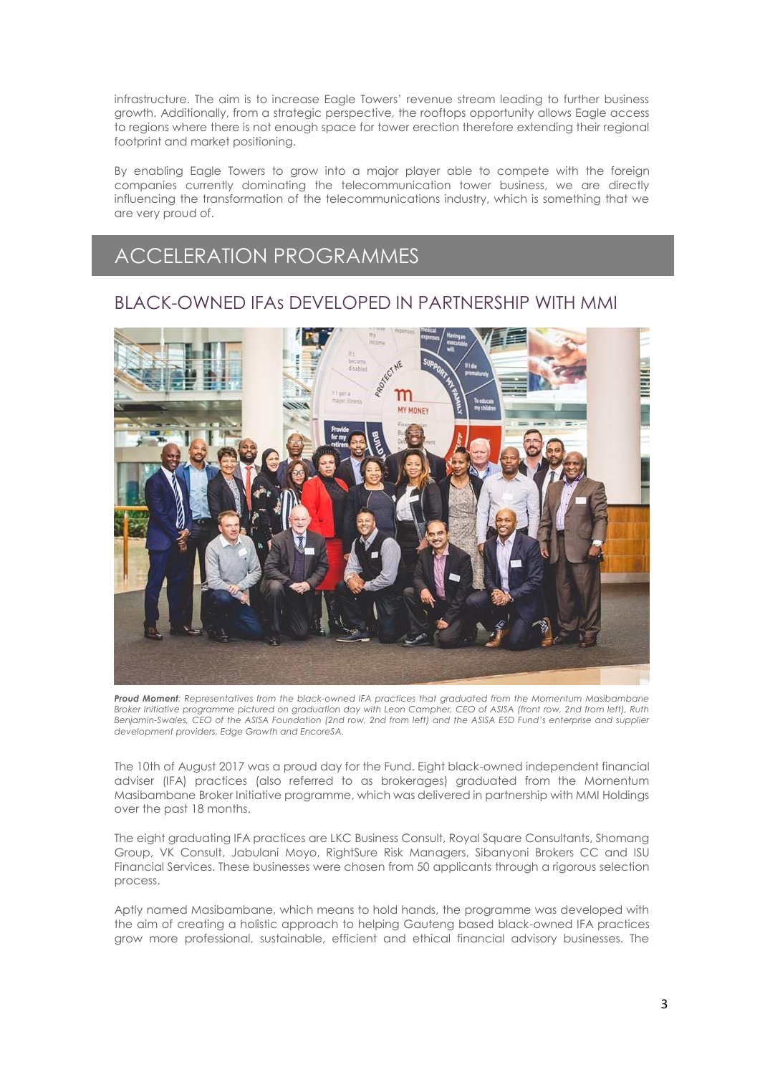infrastructure. The aim is to increase Eagle Towers' revenue stream leading to further business growth. Additionally, from a strategic perspective, the rooftops opportunity allows Eagle access to regions where there is not enough space for tower erection therefore extending their regional footprint and market positioning.

By enabling Eagle Towers to grow into a major player able to compete with the foreign companies currently dominating the telecommunication tower business, we are directly influencing the transformation of the telecommunications industry, which is something that we are very proud of.

## ACCELERATION PROGRAMMES

#### BLACK-OWNED IFAs DEVELOPED IN PARTNERSHIP WITH MMI



*Proud Moment: Representatives from the black-owned IFA practices that graduated from the Momentum Masibambane Broker Initiative programme pictured on graduation day with Leon Campher, CEO of ASISA (front row, 2nd from left), Ruth Benjamin-Swales, CEO of the ASISA Foundation (2nd row, 2nd from left) and the ASISA ESD Fund's enterprise and supplier development providers, Edge Growth and EncoreSA.*

The 10th of August 2017 was a proud day for the Fund. Eight black-owned independent financial adviser (IFA) practices (also referred to as brokerages) graduated from the Momentum Masibambane Broker Initiative programme, which was delivered in partnership with MMI Holdings over the past 18 months.

The eight graduating IFA practices are LKC Business Consult, Royal Square Consultants, Shomang Group, VK Consult, Jabulani Moyo, RightSure Risk Managers, Sibanyoni Brokers CC and ISU Financial Services. These businesses were chosen from 50 applicants through a rigorous selection process.

Aptly named Masibambane, which means to hold hands, the programme was developed with the aim of creating a holistic approach to helping Gauteng based black-owned IFA practices grow more professional, sustainable, efficient and ethical financial advisory businesses. The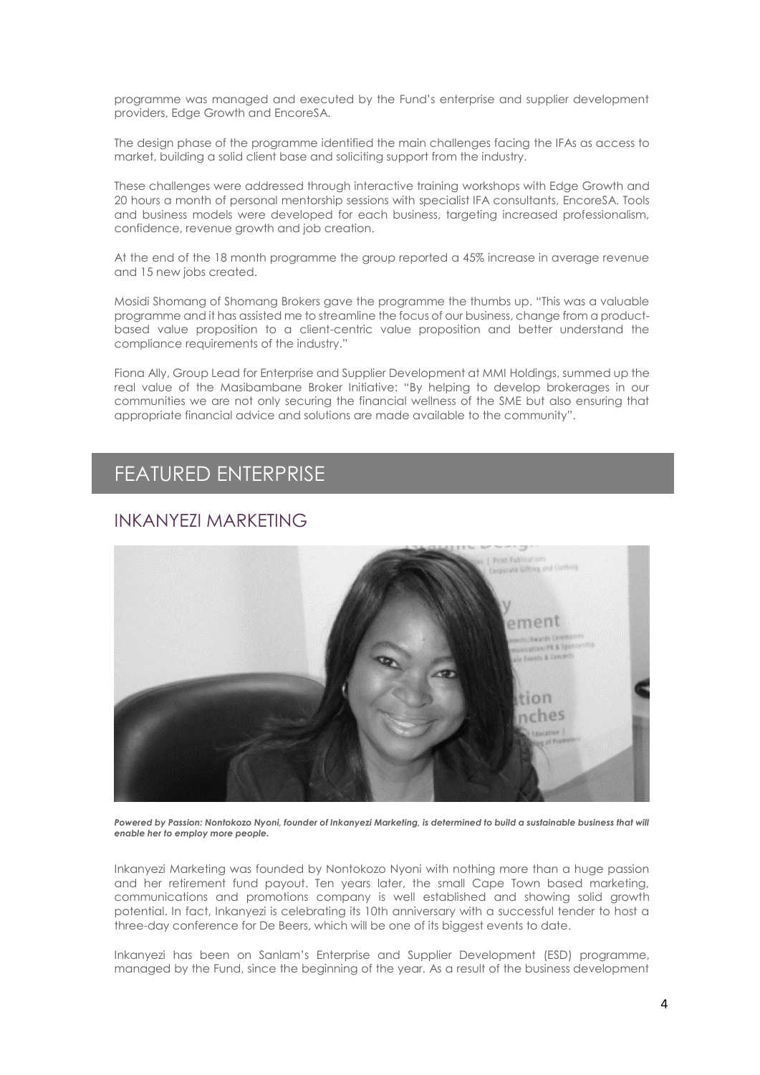programme was managed and executed by the Fund's enterprise and supplier development providers, Edge Growth and EncoreSA.

The design phase of the programme identified the main challenges facing the IFAs as access to market, building a solid client base and soliciting support from the industry.

These challenges were addressed through interactive training workshops with Edge Growth and 20 hours a month of personal mentorship sessions with specialist IFA consultants, EncoreSA. Tools and business models were developed for each business, targeting increased professionalism, confidence, revenue growth and job creation.

At the end of the 18 month programme the group reported a 45% increase in average revenue and 15 new jobs created.

Mosidi Shomang of Shomang Brokers gave the programme the thumbs up. "This was a valuable programme and it has assisted me to streamline the focus of our business, change from a productbased value proposition to a client-centric value proposition and better understand the compliance requirements of the industry."

Fiona Ally, Group Lead for Enterprise and Supplier Development at MMI Holdings, summed up the real value of the Masibambane Broker Initiative: "By helping to develop brokerages in our communities we are not only securing the financial wellness of the SME but also ensuring that appropriate financial advice and solutions are made available to the community".

### FEATURED ENTERPRISE

#### INKANYEZI MARKETING



Powered by Passion: Nontokozo Nyoni, founder of Inkanyezi Marketing, is determined to build a sustainable business that will *enable her to employ more people.*

Inkanyezi Marketing was founded by Nontokozo Nyoni with nothing more than a huge passion and her retirement fund payout. Ten years later, the small Cape Town based marketing, communications and promotions company is well established and showing solid growth potential. In fact, Inkanyezi is celebrating its 10th anniversary with a successful tender to host a three-day conference for De Beers, which will be one of its biggest events to date.

Inkanyezi has been on Sanlam's Enterprise and Supplier Development (ESD) programme, managed by the Fund, since the beginning of the year. As a result of the business development